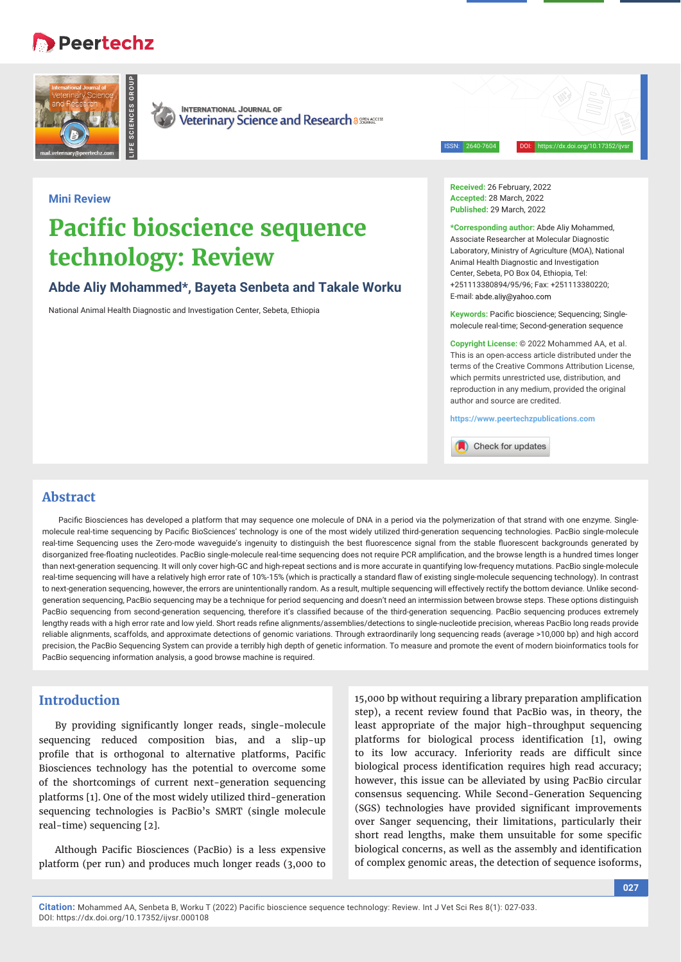## • Peertechz





**INTERNATIONAL JOURNAL OF** Veterinary Science and Research assessed

ISSN: 2640-7604 DOI: https://dx.doi.org/10.17352/ijvsr

## **Mini Review**

# **Pacific bioscience sequence technology: Review**

**Abde Aliy Mohammed\*, Bayeta Senbeta and Takale Worku**

National Animal Health Diagnostic and Investigation Center, Sebeta, Ethiopia

**Received:** 26 February, 2022 **Accepted:** 28 March, 2022 **Published:** 29 March, 2022

**\*Corresponding author:** Abde Aliy Mohammed, Associate Researcher at Molecular Diagnostic Laboratory, Ministry of Agriculture (MOA), National Animal Health Diagnostic and Investigation Center, Sebeta, PO Box 04, Ethiopia, Tel: +251113380894/95/96; Fax: +251113380220; E-mail: abde.aliv@vahoo.com

Keywords: Pacific bioscience; Sequencing; Singlemolecule real-time; Second-generation sequence

**Copyright License:** © 2022 Mohammed AA, et al. This is an open-access article distributed under the terms of the Creative Commons Attribution License, which permits unrestricted use, distribution, and reproduction in any medium, provided the original author and source are credited.

**https://www.peertechzpublications.com**

Check for updates

## **Abstract**

Pacific Biosciences has developed a platform that may sequence one molecule of DNA in a period via the polymerization of that strand with one enzyme. Singlemolecule real-time sequencing by Pacific BioSciences' technology is one of the most widely utilized third-generation sequencing technologies. PacBio single-molecule real-time Sequencing uses the Zero-mode waveguide's ingenuity to distinguish the best fluorescence signal from the stable fluorescent backgrounds generated by disorganized free-floating nucleotides. PacBio single-molecule real-time sequencing does not require PCR amplification, and the browse length is a hundred times longer than next-generation sequencing. It will only cover high-GC and high-repeat sections and is more accurate in quantifying low-frequency mutations. PacBio single-molecule real-time sequencing will have a relatively high error rate of 10%-15% (which is practically a standard flaw of existing single-molecule sequencing technology). In contrast to next-generation sequencing, however, the errors are unintentionally random. As a result, multiple sequencing will effectively rectify the bottom deviance. Unlike secondgeneration sequencing, PacBio sequencing may be a technique for period sequencing and doesn't need an intermission between browse steps. These options distinguish PacBio sequencing from second-generation sequencing, therefore it's classified because of the third-generation sequencing. PacBio sequencing produces extremely lengthy reads with a high error rate and low yield. Short reads refine alignments/assemblies/detections to single-nucleotide precision, whereas PacBio long reads provide reliable alignments, scaffolds, and approximate detections of genomic variations. Through extraordinarily long sequencing reads (average >10,000 bp) and high accord precision, the PacBio Sequencing System can provide a terribly high depth of genetic information. To measure and promote the event of modern bioinformatics tools for PacBio sequencing information analysis, a good browse machine is required.

## **Introduction**

By providing significantly longer reads, single-molecule sequencing reduced composition bias, and a slip-up profile that is orthogonal to alternative platforms, Pacific Biosciences technology has the potential to overcome some of the shortcomings of current next-generation sequencing platforms [1]. One of the most widely utilized third-generation sequencing technologies is PacBio's SMRT (single molecule real-time) sequencing [2].

Although Pacific Biosciences (PacBio) is a less expensive platform (per run) and produces much longer reads (3,000 to

15,000 bp without requiring a library preparation amplification step), a recent review found that PacBio was, in theory, the least appropriate of the major high-throughput sequencing platforms for biological process identification [1], owing to its low accuracy. Inferiority reads are difficult since biological process identification requires high read accuracy; however, this issue can be alleviated by using PacBio circular consensus sequencing. While Second-Generation Sequencing (SGS) technologies have provided significant improvements over Sanger sequencing, their limitations, particularly their short read lengths, make them unsuitable for some specific biological concerns, as well as the assembly and identification of complex genomic areas, the detection of sequence isoforms,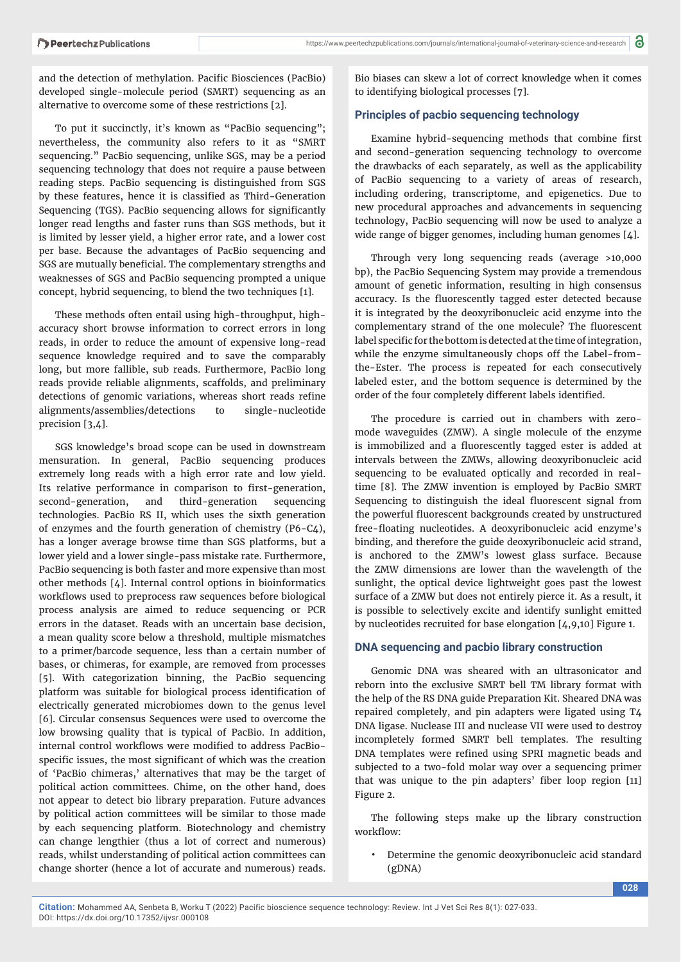and the detection of methylation. Pacific Biosciences (PacBio) developed single-molecule period (SMRT) sequencing as an alternative to overcome some of these restrictions [2].

To put it succinctly, it's known as "PacBio sequencing"; nevertheless, the community also refers to it as "SMRT sequencing." PacBio sequencing, unlike SGS, may be a period sequencing technology that does not require a pause between reading steps. PacBio sequencing is distinguished from SGS by these features, hence it is classified as Third-Generation Sequencing (TGS). PacBio sequencing allows for significantly longer read lengths and faster runs than SGS methods, but it is limited by lesser yield, a higher error rate, and a lower cost per base. Because the advantages of PacBio sequencing and SGS are mutually beneficial. The complementary strengths and weaknesses of SGS and PacBio sequencing prompted a unique concept, hybrid sequencing, to blend the two techniques [1].

These methods often entail using high-throughput, highaccuracy short browse information to correct errors in long reads, in order to reduce the amount of expensive long-read sequence knowledge required and to save the comparably long, but more fallible, sub reads. Furthermore, PacBio long reads provide reliable alignments, scaffolds, and preliminary detections of genomic variations, whereas short reads refine alignments/assemblies/detections to single-nucleotide precision [3,4].

SGS knowledge's broad scope can be used in downstream mensuration. In general, PacBio sequencing produces extremely long reads with a high error rate and low yield. Its relative performance in comparison to first-generation, second-generation, and third-generation sequencing technologies. PacBio RS II, which uses the sixth generation of enzymes and the fourth generation of chemistry (P6-C4), has a longer average browse time than SGS platforms, but a lower yield and a lower single-pass mistake rate. Furthermore, PacBio sequencing is both faster and more expensive than most other methods [4]. Internal control options in bioinformatics workflows used to preprocess raw sequences before biological process analysis are aimed to reduce sequencing or PCR errors in the dataset. Reads with an uncertain base decision, a mean quality score below a threshold, multiple mismatches to a primer/barcode sequence, less than a certain number of bases, or chimeras, for example, are removed from processes [5]. With categorization binning, the PacBio sequencing platform was suitable for biological process identification of electrically generated microbiomes down to the genus level [6]. Circular consensus Sequences were used to overcome the low browsing quality that is typical of PacBio. In addition, internal control workflows were modified to address PacBiospecific issues, the most significant of which was the creation of 'PacBio chimeras,' alternatives that may be the target of political action committees. Chime, on the other hand, does not appear to detect bio library preparation. Future advances by political action committees will be similar to those made by each sequencing platform. Biotechnology and chemistry can change lengthier (thus a lot of correct and numerous) reads, whilst understanding of political action committees can change shorter (hence a lot of accurate and numerous) reads.

Bio biases can skew a lot of correct knowledge when it comes to identifying biological processes [7].

#### **Principles of pacbio sequencing technology**

Examine hybrid-sequencing methods that combine first and second-generation sequencing technology to overcome the drawbacks of each separately, as well as the applicability of PacBio sequencing to a variety of areas of research, including ordering, transcriptome, and epigenetics. Due to new procedural approaches and advancements in sequencing technology, PacBio sequencing will now be used to analyze a wide range of bigger genomes, including human genomes [4].

Through very long sequencing reads (average >10,000 bp), the PacBio Sequencing System may provide a tremendous amount of genetic information, resulting in high consensus accuracy. Is the fluorescently tagged ester detected because it is integrated by the deoxyribonucleic acid enzyme into the complementary strand of the one molecule? The fluorescent label specific for the bottom is detected at the time of integration, while the enzyme simultaneously chops off the Label-fromthe-Ester. The process is repeated for each consecutively labeled ester, and the bottom sequence is determined by the order of the four completely different labels identified.

The procedure is carried out in chambers with zeromode waveguides (ZMW). A single molecule of the enzyme is immobilized and a fluorescently tagged ester is added at intervals between the ZMWs, allowing deoxyribonucleic acid sequencing to be evaluated optically and recorded in realtime [8]. The ZMW invention is employed by PacBio SMRT Sequencing to distinguish the ideal fluorescent signal from the powerful fluorescent backgrounds created by unstructured free-floating nucleotides. A deoxyribonucleic acid enzyme's binding, and therefore the guide deoxyribonucleic acid strand, is anchored to the ZMW's lowest glass surface. Because the ZMW dimensions are lower than the wavelength of the sunlight, the optical device lightweight goes past the lowest surface of a ZMW but does not entirely pierce it. As a result, it is possible to selectively excite and identify sunlight emitted by nucleotides recruited for base elongation [4,9,10] Figure 1.

#### **DNA sequencing and pacbio library construction**

Genomic DNA was sheared with an ultrasonicator and reborn into the exclusive SMRT bell TM library format with the help of the RS DNA guide Preparation Kit. Sheared DNA was repaired completely, and pin adapters were ligated using T4 DNA ligase. Nuclease III and nuclease VII were used to destroy incompletely formed SMRT bell templates. The resulting DNA templates were refined using SPRI magnetic beads and subjected to a two-fold molar way over a sequencing primer that was unique to the pin adapters' fiber loop region [11] Figure 2.

The following steps make up the library construction workflow:

• Determine the genomic deoxyribonucleic acid standard (gDNA)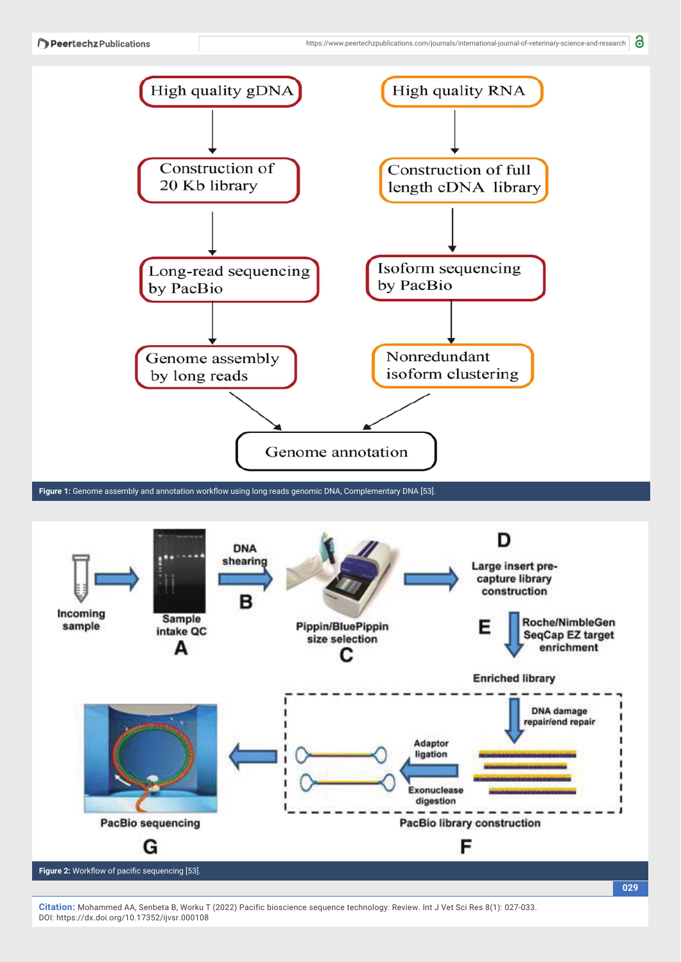

Figure 1: Genome assembly and annotation workflow using long reads genomic DNA, Complementary DNA [53].



**Citation:** Mohammed AA, Senbeta B, Worku T (2022) Pacific bioscience sequence technology: Review. Int J Vet Sci Res 8(1): 027-033. DOI: https://dx.doi.org/10.17352/ijvsr.000108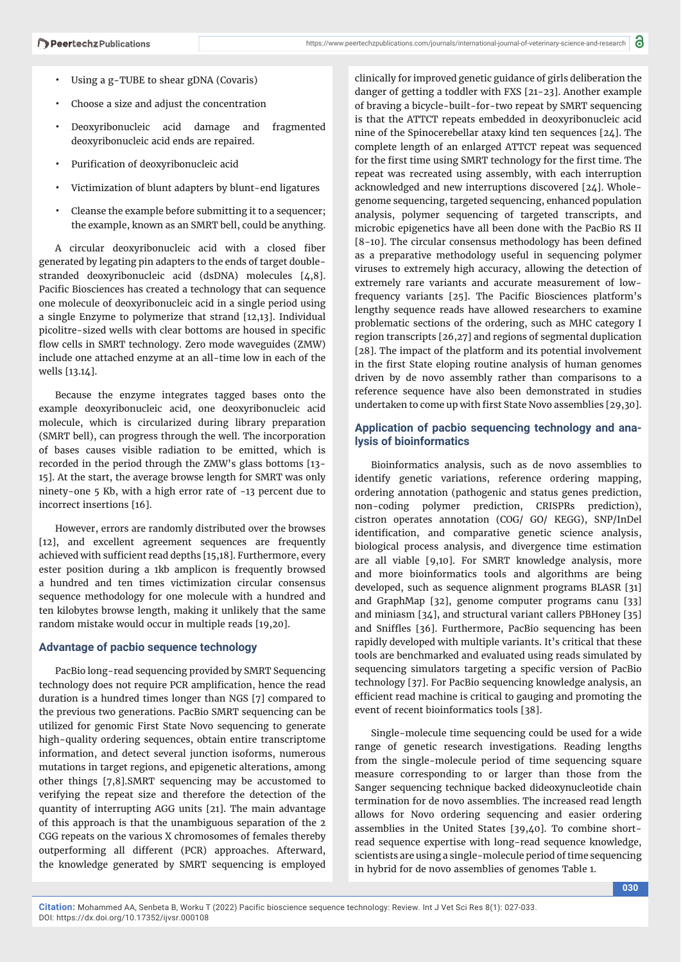- Using a g-TUBE to shear gDNA (Covaris)
- Choose a size and adjust the concentration
- Deoxyribonucleic acid damage and fragmented deoxyribonucleic acid ends are repaired.
- Purification of deoxyribonucleic acid
- Victimization of blunt adapters by blunt-end ligatures
- Cleanse the example before submitting it to a sequencer; the example, known as an SMRT bell, could be anything.

A circular deoxyribonucleic acid with a closed fiber generated by legating pin adapters to the ends of target doublestranded deoxyribonucleic acid (dsDNA) molecules [4,8]. Pacific Biosciences has created a technology that can sequence one molecule of deoxyribonucleic acid in a single period using a single Enzyme to polymerize that strand [12,13]. Individual picolitre-sized wells with clear bottoms are housed in specific flow cells in SMRT technology. Zero mode waveguides (ZMW) include one attached enzyme at an all-time low in each of the wells [13.14].

Because the enzyme integrates tagged bases onto the example deoxyribonucleic acid, one deoxyribonucleic acid molecule, which is circularized during library preparation (SMRT bell), can progress through the well. The incorporation of bases causes visible radiation to be emitted, which is recorded in the period through the ZMW's glass bottoms [13- 15]. At the start, the average browse length for SMRT was only ninety-one 5 Kb, with a high error rate of -13 percent due to incorrect insertions [16].

However, errors are randomly distributed over the browses [12], and excellent agreement sequences are frequently achieved with sufficient read depths [15,18]. Furthermore, every ester position during a 1kb amplicon is frequently browsed a hundred and ten times victimization circular consensus sequence methodology for one molecule with a hundred and ten kilobytes browse length, making it unlikely that the same random mistake would occur in multiple reads [19,20].

## **Advantage of pacbio sequence technology**

PacBio long-read sequencing provided by SMRT Sequencing technology does not require PCR amplification, hence the read duration is a hundred times longer than NGS [7] compared to the previous two generations. PacBio SMRT sequencing can be utilized for genomic First State Novo sequencing to generate high-quality ordering sequences, obtain entire transcriptome information, and detect several junction isoforms, numerous mutations in target regions, and epigenetic alterations, among other things [7,8].SMRT sequencing may be accustomed to verifying the repeat size and therefore the detection of the quantity of interrupting AGG units [21]. The main advantage of this approach is that the unambiguous separation of the 2 CGG repeats on the various X chromosomes of females thereby outperforming all different (PCR) approaches. Afterward, the knowledge generated by SMRT sequencing is employed

clinically for improved genetic guidance of girls deliberation the danger of getting a toddler with FXS [21-23]. Another example of braving a bicycle-built-for-two repeat by SMRT sequencing is that the ATTCT repeats embedded in deoxyribonucleic acid nine of the Spinocerebellar ataxy kind ten sequences [24]. The complete length of an enlarged ATTCT repeat was sequenced for the first time using SMRT technology for the first time. The repeat was recreated using assembly, with each interruption acknowledged and new interruptions discovered [24]. Wholegenome sequencing, targeted sequencing, enhanced population analysis, polymer sequencing of targeted transcripts, and microbic epigenetics have all been done with the PacBio RS II  $[8-10]$ . The circular consensus methodology has been defined as a preparative methodology useful in sequencing polymer viruses to extremely high accuracy, allowing the detection of extremely rare variants and accurate measurement of lowfrequency variants [25]. The Pacific Biosciences platform's lengthy sequence reads have allowed researchers to examine problematic sections of the ordering, such as MHC category I region transcripts [26,27] and regions of segmental duplication [28]. The impact of the platform and its potential involvement in the first State eloping routine analysis of human genomes driven by de novo assembly rather than comparisons to a reference sequence have also been demonstrated in studies undertaken to come up with first State Novo assemblies [29,30].

## **Application of pacbio sequencing technology and analysis of bioinformatics**

Bioinformatics analysis, such as de novo assemblies to identify genetic variations, reference ordering mapping, ordering annotation (pathogenic and status genes prediction, non-coding polymer prediction, CRISPRs prediction), cistron operates annotation (COG/ GO/ KEGG), SNP/InDel identification, and comparative genetic science analysis, biological process analysis, and divergence time estimation are all viable [9,10]. For SMRT knowledge analysis, more and more bioinformatics tools and algorithms are being developed, such as sequence alignment programs BLASR [31] and GraphMap [32], genome computer programs canu [33] and miniasm [34], and structural variant callers PBHoney [35] and Sniffles [36]. Furthermore, PacBio sequencing has been rapidly developed with multiple variants. It's critical that these tools are benchmarked and evaluated using reads simulated by sequencing simulators targeting a specific version of PacBio technology [37]. For PacBio sequencing knowledge analysis, an efficient read machine is critical to gauging and promoting the event of recent bioinformatics tools [38].

Single-molecule time sequencing could be used for a wide range of genetic research investigations. Reading lengths from the single-molecule period of time sequencing square measure corresponding to or larger than those from the Sanger sequencing technique backed dideoxynucleotide chain termination for de novo assemblies. The increased read length allows for Novo ordering sequencing and easier ordering assemblies in the United States [39,40]. To combine shortread sequence expertise with long-read sequence knowledge, scientists are using a single-molecule period of time sequencing in hybrid for de novo assemblies of genomes Table 1.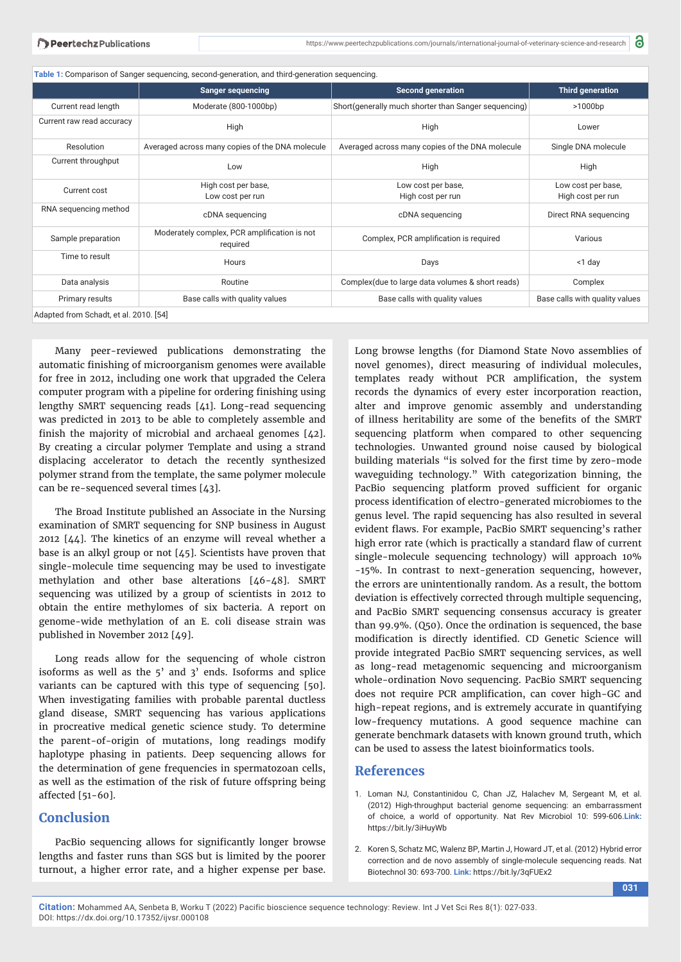|                           | <b>Sanger sequencing</b>                                 | <b>Second generation</b>                             | <b>Third generation</b>                 |
|---------------------------|----------------------------------------------------------|------------------------------------------------------|-----------------------------------------|
| Current read length       | Moderate (800-1000bp)                                    | Short(generally much shorter than Sanger sequencing) | >1000bp                                 |
| Current raw read accuracy | High                                                     | High                                                 | Lower                                   |
| Resolution                | Averaged across many copies of the DNA molecule          | Averaged across many copies of the DNA molecule      | Single DNA molecule                     |
| Current throughput        | Low                                                      | High                                                 | High                                    |
| Current cost              | High cost per base,<br>Low cost per run                  | Low cost per base,<br>High cost per run              | Low cost per base,<br>High cost per run |
| RNA sequencing method     | cDNA sequencing                                          | cDNA sequencing                                      | Direct RNA sequencing                   |
| Sample preparation        | Moderately complex, PCR amplification is not<br>required | Complex, PCR amplification is required               | Various                                 |
| Time to result            | Hours                                                    | Days                                                 | <1 day                                  |
| Data analysis             | Routine                                                  | Complex (due to large data volumes & short reads)    | Complex                                 |
| Primary results           | Base calls with quality values                           | Base calls with quality values                       | Base calls with quality values          |

Many peer-reviewed publications demonstrating the automatic finishing of microorganism genomes were available for free in 2012, including one work that upgraded the Celera computer program with a pipeline for ordering finishing using lengthy SMRT sequencing reads [41]. Long-read sequencing was predicted in 2013 to be able to completely assemble and finish the majority of microbial and archaeal genomes  $[42]$ . By creating a circular polymer Template and using a strand displacing accelerator to detach the recently synthesized polymer strand from the template, the same polymer molecule can be re-sequenced several times [43].

The Broad Institute published an Associate in the Nursing examination of SMRT sequencing for SNP business in August 2012 [44]. The kinetics of an enzyme will reveal whether a base is an alkyl group or not [45]. Scientists have proven that single-molecule time sequencing may be used to investigate methylation and other base alterations [46-48]. SMRT sequencing was utilized by a group of scientists in 2012 to obtain the entire methylomes of six bacteria. A report on genome-wide methylation of an E. coli disease strain was published in November 2012 [49].

Long reads allow for the sequencing of whole cistron isoforms as well as the 5' and 3' ends. Isoforms and splice variants can be captured with this type of sequencing [50]. When investigating families with probable parental ductless gland disease, SMRT sequencing has various applications in procreative medical genetic science study. To determine the parent-of-origin of mutations, long readings modify haplotype phasing in patients. Deep sequencing allows for the determination of gene frequencies in spermatozoan cells, as well as the estimation of the risk of future offspring being affected [51-60].

### **Conclusion**

PacBio sequencing allows for significantly longer browse lengths and faster runs than SGS but is limited by the poorer turnout, a higher error rate, and a higher expense per base.

Long browse lengths (for Diamond State Novo assemblies of novel genomes), direct measuring of individual molecules, templates ready without PCR amplification, the system records the dynamics of every ester incorporation reaction, alter and improve genomic assembly and understanding of illness heritability are some of the benefits of the SMRT sequencing platform when compared to other sequencing technologies. Unwanted ground noise caused by biological building materials "is solved for the first time by zero-mode waveguiding technology." With categorization binning, the PacBio sequencing platform proved sufficient for organic process identification of electro-generated microbiomes to the genus level. The rapid sequencing has also resulted in several evident flaws. For example, PacBio SMRT sequencing's rather high error rate (which is practically a standard flaw of current single-molecule sequencing technology) will approach 10% -15%. In contrast to next-generation sequencing, however, the errors are unintentionally random. As a result, the bottom deviation is effectively corrected through multiple sequencing, and PacBio SMRT sequencing consensus accuracy is greater than 99.9%. (Q50). Once the ordination is sequenced, the base modification is directly identified. CD Genetic Science will provide integrated PacBio SMRT sequencing services, as well as long-read metagenomic sequencing and microorganism whole-ordination Novo sequencing. PacBio SMRT sequencing does not require PCR amplification, can cover high-GC and high-repeat regions, and is extremely accurate in quantifying low-frequency mutations. A good sequence machine can generate benchmark datasets with known ground truth, which can be used to assess the latest bioinformatics tools.

## **References**

- 1. Loman NJ, Constantinidou C, Chan JZ, Halachev M, Sergeant M, et al. (2012) High-throughput bacterial genome sequencing: an embarrassment of choice, a world of opportunity. Nat Rev Microbiol 10: 599-606.**Link:** https://bit.ly/3iHuyWb
- 2. Koren S, Schatz MC, Walenz BP, Martin J, Howard JT, et al. (2012) Hybrid error correction and de novo assembly of single-molecule sequencing reads. Nat Biotechnol 30: 693-700. **Link:** https://bit.ly/3qFUEx2

**Citation:** Mohammed AA, Senbeta B, Worku T (2022) Pacific bioscience sequence technology: Review. Int J Vet Sci Res 8(1): 027-033. DOI: https://dx.doi.org/10.17352/ijvsr.000108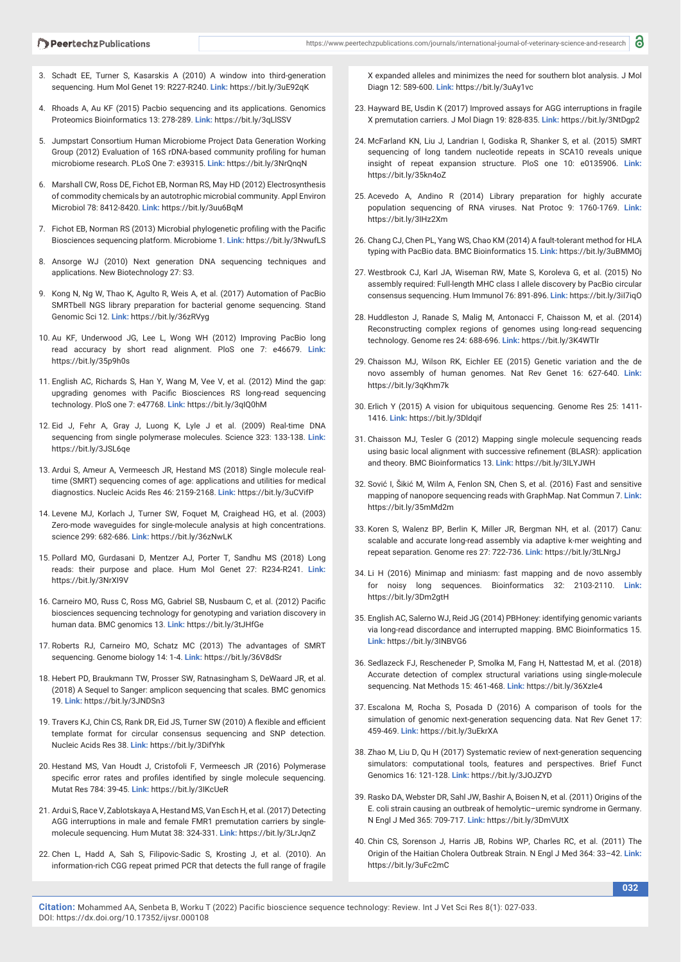- 3. Schadt EE, Turner S, Kasarskis A (2010) A window into third-generation sequencing. Hum Mol Genet 19: R227-R240. **Link:** https://bit.ly/3uE92qK
- 4. Rhoads A, Au KF (2015) Pacbio sequencing and its applications. Genomics Proteomics Bioinformatics 13: 278-289. **Link:** https://bit.ly/3qLlSSV
- 5. Jumpstart Consortium Human Microbiome Project Data Generation Working Group (2012) Evaluation of 16S rDNA-based community profiling for human microbiome research. PLoS One 7: e39315. **Link:** https://bit.ly/3NrQnqN
- 6. Marshall CW, Ross DE, Fichot EB, Norman RS, May HD (2012) Electrosynthesis of commodity chemicals by an autotrophic microbial community. Appl Environ Microbiol 78: 8412-8420. **Link:** https://bit.ly/3uu6BqM
- 7. Fichot EB, Norman RS (2013) Microbial phylogenetic profiling with the Pacific Biosciences sequencing platform. Microbiome 1. **Link:** https://bit.ly/3NwufLS
- 8. Ansorge WJ (2010) Next generation DNA sequencing techniques and applications. New Biotechnology 27: S3.
- 9. Kong N, Ng W, Thao K, Agulto R, Weis A, et al. (2017) Automation of PacBio SMRTbell NGS library preparation for bacterial genome sequencing. Stand Genomic Sci 12. **Link:** https://bit.ly/36zRVyg
- 10. Au KF, Underwood JG, Lee L, Wong WH (2012) Improving PacBio long read accuracy by short read alignment. PloS one 7: e46679. **Link:** https://bit.ly/35p9h0s
- 11. English AC, Richards S, Han Y, Wang M, Vee V, et al. (2012) Mind the gap: upgrading genomes with Pacific Biosciences RS long-read sequencing technology. PloS one 7: e47768. **Link:** https://bit.ly/3qIQ0hM
- 12. Eid J, Fehr A, Gray J, Luong K, Lyle J et al. (2009) Real-time DNA sequencing from single polymerase molecules. Science 323: 133-138. **Link:** https://bit.ly/3JSL6qe
- 13. Ardui S, Ameur A, Vermeesch JR, Hestand MS (2018) Single molecule realtime (SMRT) sequencing comes of age: applications and utilities for medical diagnostics. Nucleic Acids Res 46: 2159-2168. **Link:** https://bit.ly/3uCVifP
- 14. Levene MJ, Korlach J, Turner SW, Foquet M, Craighead HG, et al. (2003) Zero-mode waveguides for single-molecule analysis at high concentrations. science 299: 682-686. **Link:** https://bit.ly/36zNwLK
- 15. Pollard MO, Gurdasani D, Mentzer AJ, Porter T, Sandhu MS (2018) Long reads: their purpose and place. Hum Mol Genet 27: R234-R241. **Link:** https://bit.ly/3NrXI9V
- 16. Carneiro MO, Russ C, Ross MG, Gabriel SB, Nusbaum C, et al. (2012) Pacific biosciences sequencing technology for genotyping and variation discovery in human data. BMC genomics 13. **Link:** https://bit.ly/3tJHfGe
- 17. Roberts RJ, Carneiro MO, Schatz MC (2013) The advantages of SMRT sequencing. Genome biology 14: 1-4. **Link:** https://bit.ly/36V8dSr
- 18. Hebert PD, Braukmann TW, Prosser SW, Ratnasingham S, DeWaard JR, et al. (2018) A Sequel to Sanger: amplicon sequencing that scales. BMC genomics 19. **Link:** https://bit.ly/3JNDSn3
- 19. Travers KJ, Chin CS, Rank DR, Eid JS, Turner SW (2010) A flexible and efficient template format for circular consensus sequencing and SNP detection. Nucleic Acids Res 38. **Link:** https://bit.ly/3DifYhk
- 20. Hestand MS, Van Houdt J, Cristofoli F, Vermeesch JR (2016) Polymerase specific error rates and profiles identified by single molecule sequencing. Mutat Res 784: 39-45. **Link:** https://bit.ly/3IKcUeR
- 21. Ardui S, Race V, Zablotskaya A, Hestand MS, Van Esch H, et al. (2017) Detecting AGG interruptions in male and female FMR1 premutation carriers by single‐ molecule sequencing. Hum Mutat 38: 324-331. **Link:** https://bit.ly/3LrJqnZ
- 22. Chen L, Hadd A, Sah S, Filipovic-Sadic S, Krosting J, et al. (2010). An information-rich CGG repeat primed PCR that detects the full range of fragile

X expanded alleles and minimizes the need for southern blot analysis. J Mol Diagn 12: 589-600. **Link:** https://bit.ly/3uAy1vc

- 23. Hayward BE, Usdin K (2017) Improved assays for AGG interruptions in fragile X premutation carriers. J Mol Diagn 19: 828-835. **Link:** https://bit.ly/3NtDgp2
- 24. McFarland KN, Liu J, Landrian I, Godiska R, Shanker S, et al. (2015) SMRT sequencing of long tandem nucleotide repeats in SCA10 reveals unique insight of repeat expansion structure. PloS one 10: e0135906. **Link:** https://bit.ly/35kn4oZ
- 25. Acevedo A, Andino R (2014) Library preparation for highly accurate population sequencing of RNA viruses. Nat Protoc 9: 1760-1769. **Link:**  https://bit.ly/3IHz2Xm
- 26. Chang CJ, Chen PL, Yang WS, Chao KM (2014) A fault-tolerant method for HLA typing with PacBio data. BMC Bioinformatics 15. **Link:** https://bit.ly/3uBMMOj
- 27. Westbrook CJ, Karl JA, Wiseman RW, Mate S, Koroleva G, et al. (2015) No assembly required: Full-length MHC class I allele discovery by PacBio circular consensus sequencing. Hum Immunol 76: 891-896. **Link:** https://bit.ly/3iI7iqO
- 28. Huddleston J, Ranade S, Malig M, Antonacci F, Chaisson M, et al. (2014) Reconstructing complex regions of genomes using long-read sequencing technology. Genome res 24: 688-696. **Link:** https://bit.ly/3K4WTlr
- 29. Chaisson MJ, Wilson RK, Eichler EE (2015) Genetic variation and the de novo assembly of human genomes. Nat Rev Genet 16: 627-640. **Link:** https://bit.ly/3qKhm7k
- 30. Erlich Y (2015) A vision for ubiquitous sequencing. Genome Res 25: 1411- 1416. **Link:** https://bit.ly/3Dldqif
- 31. Chaisson MJ, Tesler G (2012) Mapping single molecule sequencing reads using basic local alignment with successive refinement (BLASR): application and theory. BMC Bioinformatics 13. **Link:** https://bit.ly/3ILYJWH
- 32. Sović I, Šikić M, Wilm A, Fenlon SN, Chen S, et al. (2016) Fast and sensitive mapping of nanopore sequencing reads with GraphMap. Nat Commun 7. **Link:** https://bit.ly/35mMd2m
- 33. Koren S, Walenz BP, Berlin K, Miller JR, Bergman NH, et al. (2017) Canu: scalable and accurate long-read assembly via adaptive k-mer weighting and repeat separation. Genome res 27: 722-736. **Link:** https://bit.ly/3tLNrgJ
- 34. Li H (2016) Minimap and miniasm: fast mapping and de novo assembly for noisy long sequences. Bioinformatics 32: 2103-2110. **Link:** https://bit.ly/3Dm2gtH
- 35. English AC, Salerno WJ, Reid JG (2014) PBHoney: identifying genomic variants via long-read discordance and interrupted mapping. BMC Bioinformatics 15. **Link:** https://bit.ly/3INBVG6
- 36. Sedlazeck FJ, Rescheneder P, Smolka M, Fang H, Nattestad M, et al. (2018) Accurate detection of complex structural variations using single-molecule sequencing. Nat Methods 15: 461-468. **Link:** https://bit.ly/36XzIe4
- 37. Escalona M, Rocha S, Posada D (2016) A comparison of tools for the simulation of genomic next-generation sequencing data. Nat Rev Genet 17: 459-469. **Link:** https://bit.ly/3uEkrXA
- 38. Zhao M, Liu D, Qu H (2017) Systematic review of next-generation sequencing simulators: computational tools, features and perspectives. Brief Funct Genomics 16: 121-128. **Link:** https://bit.ly/3JOJZYD
- 39. Rasko DA, Webster DR, Sahl JW, Bashir A, Boisen N, et al. (2011) Origins of the E. coli strain causing an outbreak of hemolytic–uremic syndrome in Germany. N Engl J Med 365: 709-717. **Link:** https://bit.ly/3DmVUtX
- 40. Chin CS, Sorenson J, Harris JB, Robins WP, Charles RC, et al. (2011) The Origin of the Haitian Cholera Outbreak Strain. N Engl J Med 364: 33–42. **Link:** https://bit.ly/3uFc2mC